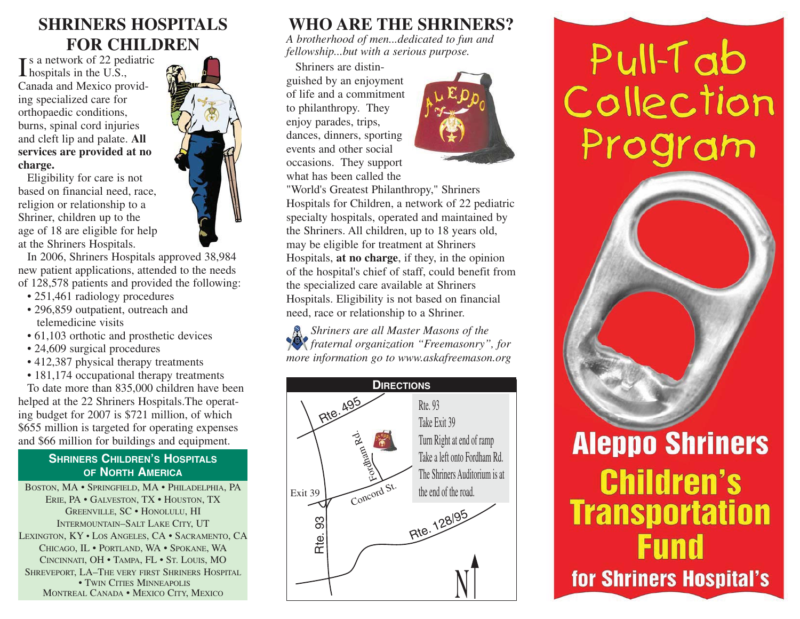### **SHRINERS HOSPITALSFOR CHILDREN**

**T** s a network of 22 pediatric  $\int$  a network or 22 per Canada and Mexico providing specialized care for orthopaedic conditions, burns, spinal cord injuries and cleft lip and palate. **All services are provided at no charge.**

Eligibility for care is not based on financial need, race, religion or relationship to a Shriner, children up to the age of 18 are eligible for help at the Shriners Hospitals.

In 2006, Shriners Hospitals approved 38,984 new patient applications, attended to the needs of 128,578 patients and provided the following:

- 251,461 radiology procedures
- 296,859 outpatient, outreach and telemedicine visits
- 61,103 orthotic and prosthetic devices
- 24,609 surgical procedures
- 412,387 physical therapy treatments
- 181,174 occupational therapy treatments

To date more than 835,000 children have been helped at the 22 Shriners Hospitals.The operating budget for 2007 is \$721 million, of which \$655 million is targeted for operating expenses and \$66 million for buildings and equipment.

#### **SHRINERSCHILDREN'SHOSPITALSOFNORTHAMERICA**

BOSTON, MA • SPRINGFIELD, MA • PHILADELPHIA, PA ERIE, PA • GALVESTON, TX • HOUSTON, TX GREENVILLE, SC • HONOLULU, HI INTERMOUNTAIN–SALT LAKE CITY, UT LEXINGTON, KY • LOS ANGELES, CA • SACRAMENTO, CA CHICAGO, IL • PORTLAND, WA • SPOKANE, WA CINCINNATI, OH • TAMPA, FL • ST. LOUIS, MO SHREVEPORT, LA–THE VERY FIRST SHRINERS HOSPITAL $\bullet$  Twin Cities Minneapolis MONTREAL CANADA • MEXICO CITY, MEXICO

#### **WHO ARE THE SHRINERS?**

*A brotherhood of men...dedicated to fun and fellowship...but with a serious purpose.* 

Shriners are distinguished by an enjoyment of life and a commitmentto philanthropy. They enjoy parades, trips, dances, dinners, sporting events and other socialoccasions. They support what has been called the



"World's Greatest Philanthropy," Shriners Hospitals for Children, a network of 22 pediatric specialty hospitals, operated and maintained by the Shriners. All children, up to 18 years old, may be eligible for treatment at Shriners Hospitals, **at no charge**, if they, in the opinion of the hospital's chief of staff, could benefit from the specialized care available at Shriners Hospitals. Eligibility is not based on financial need, race or relationship to a Shriner.

*Shriners are all Master Masons of the fraternal organization "Freemasonry", for more information go to www.askafreemason.org*



# Pull-Tab Collection Program



# **Aleppo Shriners Children's Transportation Fund** for Shriners Hospital's